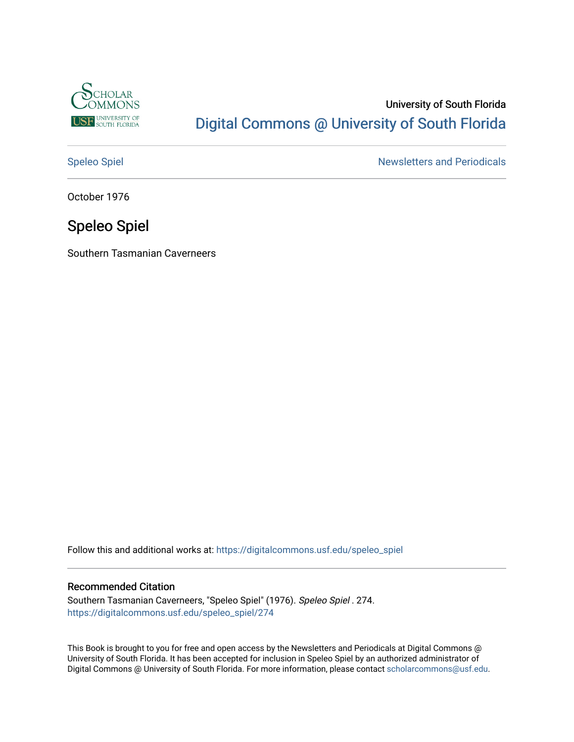

# University of South Florida [Digital Commons @ University of South Florida](https://digitalcommons.usf.edu/)

[Speleo Spiel](https://digitalcommons.usf.edu/speleo_spiel) Newsletters and Periodicals

October 1976

## Speleo Spiel

Southern Tasmanian Caverneers

Follow this and additional works at: [https://digitalcommons.usf.edu/speleo\\_spiel](https://digitalcommons.usf.edu/speleo_spiel?utm_source=digitalcommons.usf.edu%2Fspeleo_spiel%2F274&utm_medium=PDF&utm_campaign=PDFCoverPages)

#### Recommended Citation

Southern Tasmanian Caverneers, "Speleo Spiel" (1976). Speleo Spiel . 274. [https://digitalcommons.usf.edu/speleo\\_spiel/274](https://digitalcommons.usf.edu/speleo_spiel/274?utm_source=digitalcommons.usf.edu%2Fspeleo_spiel%2F274&utm_medium=PDF&utm_campaign=PDFCoverPages)

This Book is brought to you for free and open access by the Newsletters and Periodicals at Digital Commons @ University of South Florida. It has been accepted for inclusion in Speleo Spiel by an authorized administrator of Digital Commons @ University of South Florida. For more information, please contact [scholarcommons@usf.edu.](mailto:scholarcommons@usf.edu)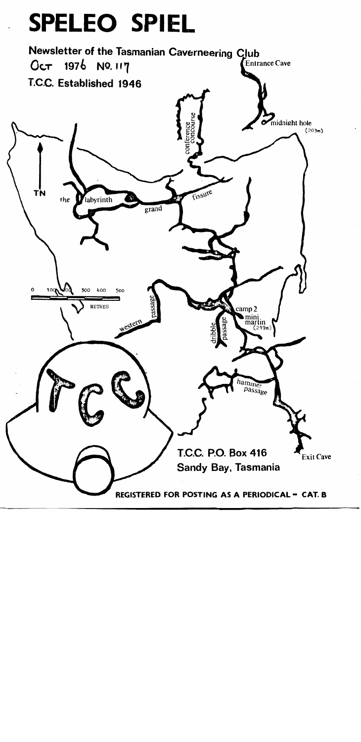# SPELEO SPIEL

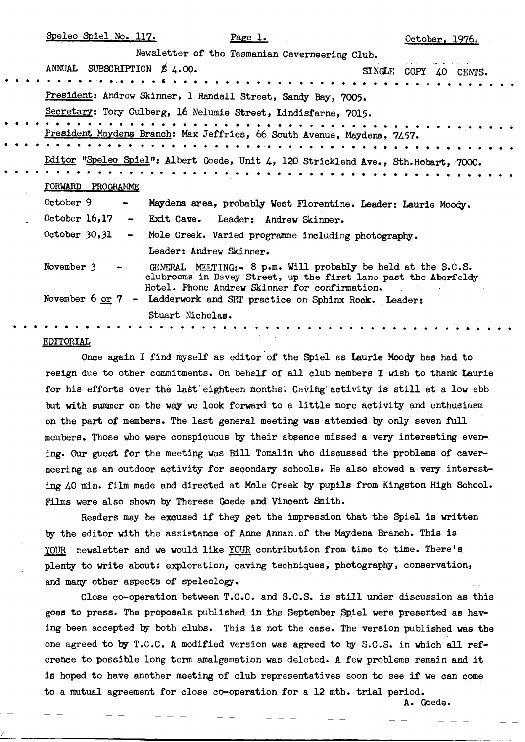Speleo Spiel No. 117. Page 1. Description of the Cotober, 1976. Newsletter of the Tasmanian Caverneering Club. ANNUAL SUBSCRIPTION *6* 4.00. **SINGLE** COPY 40 CENTS. President: Andrew Skinner, 1 Randall Street, Sandy Bay, 7005. Secretary: Tony Culberg, 16 Nelumie Street, Lindisfarne, 7015. Secretary: Tony Culberg, 16 Nelumie Street, Lindisfarne, 7015.<br>President Maydena Branch: Max Jeffries, 66 South Avenue, Maydena, 7457. President Maydena Branch: Max Jeffries, 66 South Avenue, Maydena, 7457. Editor "Speleo Spiel": Albert Goede, Unit 4, 120 Strickland Ave., Sth.Hobart, 7000.<br> **PORWARD PROGRAMME** October 9 - Maydena area, probably West Florentine. Leader: Laurie Moody. October 16,17 - Fait Cave. Leader: Andrew Skinner. October 30,31 - Mole Creek. Varied programme including photography. Leader: Andrew Skinner. November **<sup>3</sup>**- **GENERAL** MEETING:- 8 p.m. Will probably be held at the S.C.S. clubrooms in Davey Street, up the first lane past the Aberfeldy Hotel. Phone Andrew Skinner for confirmation. . November 6 **or** 7 - Ladderwork and SRT practice on Sphinx Rock. Leader: Stuart Nicholas. ................................................

#### EDITORIAL

Once again I find myself as editor of the Spiel as Laurie Moody has had to reeign due to other commitments. On behalf of all club members I wish to thank Laurie for his efforts over the last eighteen months. Caving activity is still at a low ebb but with summer on the way we look forward to a little more activity and enthusiasm on the part of members. The last general meeting was attended by only seven full members. Those who were conspicuous by their absence missed a very interesting evening. *Our* guest for the meeting was Bill Tomalin who discussed the problems of caver neering as an outdoor activity for secondary schools. He also showed a very interesting 40 min. film made and directed at Mole Creek by pupils from Kingston High School. Films were also shown by Therese Goede and Vincent Smith.

Readers may be excused if they get the impression that the Spiel is written by the editor with the assistmce of **Anne** Annan of the Maydena Branch. This is - YOUR newsletter and we would like **YOUR** contribution from time to time. There's plenty to write about: exploration, caving techniques, photography, conservation, and mary other aspects of speleology.

Close co-operation between T.C.C. and S.C.S. is still under discussion as this goes to press. The proposals published in the September Spiel were presented as hav**ing** been accepted by both clubs. This is not the case. The version published was the one agreed .to **by** T.C.C. **A** modified version was agreed to by S.C.S. in which all reference to possible long term amalgamation was deleted. A few problems remain and it is hoped to have another meeting of club representatives soon to see if we can come to a mutual agreement for close co-operation for a 12 mth. trial period.

A. Coede. - - - - - - - - - - - - - - - - -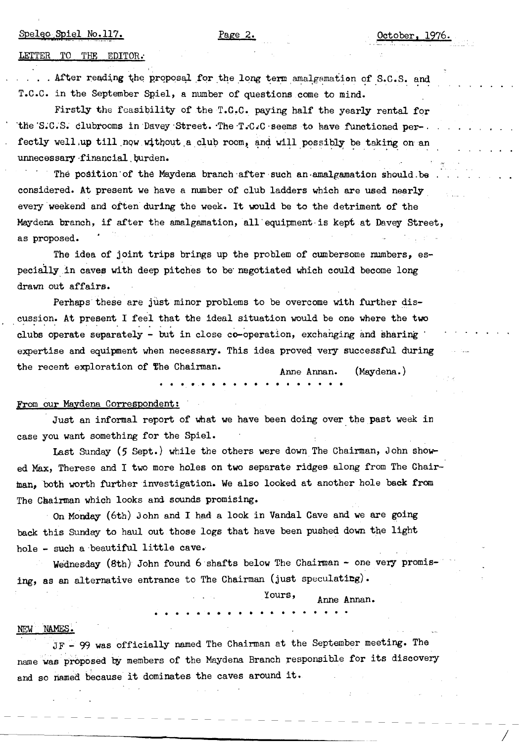#### LETTER TO THE EDITOR.

... After reading the proposal for the long term amalgamation of S.C.S. and T.C.C. in the September Spiel, a number of questions come to mind.

Firstly the feasibility of the  $T.C.C.$  paying half the yearly rental for the S.C.S. clubrooms in Davey Street. The T.C.C seems to have functioned per-. fectly well,up till now without a club room, and will possibly be taking on an unnecessary financial burden.

The position of the Maydena branch after such an amalgamation should be considered. At present we have a number of club ladders which are used nearly every weekend and often during the week. It would be to the detriment of the Maydena branch, if after the amalgamation, all equipment is kept at Davey Street, as proposed.

The idea of joint trips brings up the problem of cumbersome numbers, especially in caves with deep pitches to be negotiated which could become long drawn out affairs.

Perhaps these are just minor problems to be overcome with further discussion. At present I feel that the ideal situation would be one where the two clubs operate separately - but in close co-operation, exchanging and sharing expertise and equipment when necessary. This idea proved very successful during the recent exploration of the Chairman. Anne Annan. (Maydena.)

#### From our Maydena Correspondent:

Just an informal report of what we have been doing over the past week in case you want something for the Spiel.

Last Sunday **(5** Sept.) while the others were down The Chairman, John showed **Max,** Therese and I two more holes on two separate ridgee along from The Chair**ban,** both worth further investigation. We also looked at another hole **back** from The Chairman which looks and sounds promising.

On Monday (6th) dohn and I had a look in Vandal Cave and we are going back this Sunday to haul out those logs that have been pushed down the light hole - such a beautiful little cave.

Wednesday (8th) John found 6 shafts below The Chairman - one very promising, as an alternative entrance to The Chairman (just speculating).

> Anne Annan. ...................

**NEW** NAMES. - -

JF - 99 was officially named The Chairman at the September meeting. The name **was** proposed by members of the Maydena Branch responsible for its discovery and so named because it dominates the caves around it.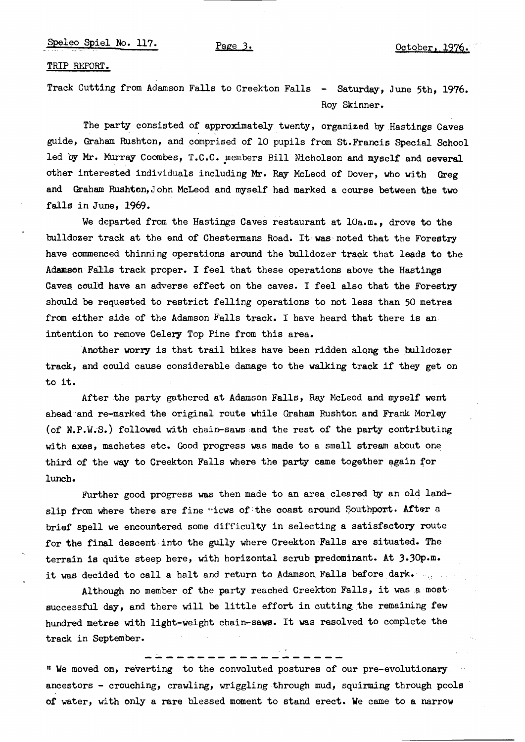#### Page 3.

#### **TRIP** REFORT.

Track Cutting from Adamson Falls to Creekton Falls - Saturday, June 5th, 1976. Roy Skinner.

The party consisted of approximately twenty, organized by Hastings Caves guide, Graham Rushton, and comprised of 10 pupils from St.Francis Special School led by Mr. Murray Coombes, T.C.C. members Bill Nicholson and myself and several other interested individuals including Mr. Ray McLeod of Dover, who with Greg and Graham Rushton,John McLeod and myself had marked a course between the two falls in June, 1969.

We departed from the Hastings Caves restaurant at 10a.m., drove **to** the bulldozer track at the end of Chestermans Road. It was noted that the Forestry have commenced thinning operations around the bulldozer track that leads to the Adamson Falls track proper. I feel that these operations above the Hastings Caves could have an adverse effect on the caves. I feel also that the Forestry should be requested to restrict felling operations to not less than 50 metres from either side of the Adamson Falls track. I have heard that there is an intention to remove Celery Top Pine from this area.

Another worry is that trail bikes have been ridden along the bulldozer track, and could cause considerable damage to the walking track if they get on to it.

After the party gathered at Adamson Falls, Ray McLeod and myself went ahead and re-marked the original route while Graham Rushton and Frank Morley (of N.P.w.s.) followed with chain-saws and the rest of the party contributing with axes, machetes etc. Good progress was made to a small stream about one third of the way to Creekton Falls where the party came together again for lunch.

Further good progress was then made to an area cleared by an old landslip from where there are fine wiews of the coast around Southport. After a brief spell we encountered some difficulty in selecting a satisfactory route for the final descent into the gully where Creekton Falls are situated. The terrain is quite steep here, with horizontal scrub predominant. At 3.30p.m. it was decided to call a halt and return to Adamson Falls before dark.

Although no member of the party reached Creekton Falls, it was a most successful day, and there will be little effort in cutting the remaining few hundred metres with light-weight chain-saws. It was resolved to complete the track in September.

**--------I----------** 

" We moved on, reverting to the convoluted postures of our pre-evolutionary ancestors - crouching, crawling, wriggling through mud, squirming through pools of water, with only a rare blessed moment to stand erect. We came to a narrow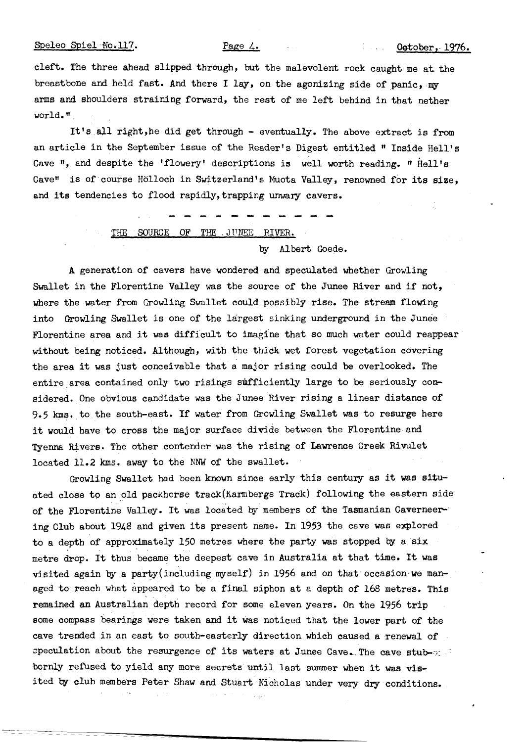cleft. The three ahead slipped through, but the malevolent rock caught me at the breastbone and held fast. And there I lay, on the agonizing side of panic, **miy**  arms and shoulders straining forward, the rest of me left behind In that nether world."

It's all right,he did get through - eventually. The above extract is from an article in the September issue of the Reader's Digest entitled " Inside Hell's Cave ", and despite the 'flowery' descriptions is well worth reading. " Hell's Cave" is of course Hölloch in Switzerland's Muota Valley, renowned for its size, and its tendencies to flood rapidly, trapping unwary cavers.

THE SOURCE OF THE JUNEE RIVER.

by Albert Goede.

A generation of cavers have wondered and speculated whether Growling Swallet in the Florentine Valley was the source of the Junee River and if not, where the water from Growling Swallet could possibly rise. The stream flowing into Growling Swallet is one of the largest sinking underground in the Junee Florentine area and it **was** difficult to imagine that so much mter could reappear without being noticed. Although, with the thick wet forest vegetation covering the area it was just conceivable that a major rising could be overlooked. The entire area contained only two risings sufficiently large to be seriously considered. One obvious candidate was the Junee River rising a linear distance of 9.5 **kms,** to the south-east. If water from Growling Swallet was to resurge here it would have to cross the major surface divide between the Florentine and Tyenna Rivers. The other contender was the rising of Lawrence Creek Rivulet located 11.2 **kms.** away to the **NW** of the swallet.

Growling Swallet had been known since early this century as it was situated close to an old packhorse track(Karmbergs Track) following the eastern side of the Florentine Valley. It was loceted by members of the Tasmanian Caverneer ing Club about 1948 and given its present name. In 1953 the cave was explored to a depth of approximately 150 metres where the party was stopped by a six metre drop. It thus became the deepest cave in Australia at that time. It was visited again by a party(including myself) in 1956 and on that occasion we managed to reach what appeared to be a final siphon at a depth of 168 metres. This remained an Australian depth record for some eleven years. On the 1956 trip some compass bearings were taken and it was noticed that the lower part of the cave trended in an east to south-easterly direction which caused a renewal of speculation about the resurgence of its waters at Junee Cave. The cave stub- $\gamma$ : bornly refused to yield any more secrets until last summer when it **was** visited by club members Peter Shaw and Stuart Nicholas under very dry conditions.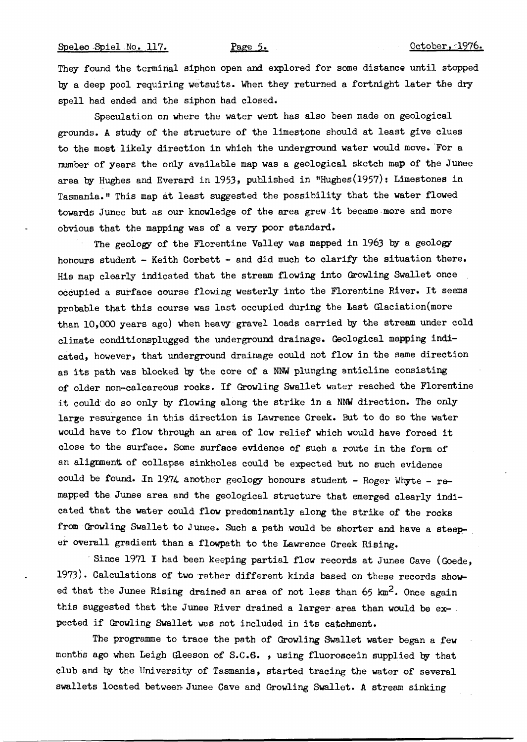They found the terminal siphon open and explored for some distance until stopped by a deep pool requiring wetsuits. When they returned a fortnight later the dry spell had ended and the siphon had closed.

Speculation on where the water went has also been made on geological grounds. **A** study of the structure of the limestone should at least give clues to the most likely direction in which the underground water would move. For a number of years the only available map was a geological sketch map of the Junee area by Hughes and Everard in 1953, published in "Hughes(1957): Limestones in Tasmania." This map at least suggested the possibility that the water flowed towards Junee but as our knowledge of the area grew it became more and more obvious that the mapping was of a very poor standard.

The geology of the Florentine Valley was mapped in 1963 by a geology honours student - Keith Corbett - and did much to clarify the situation there. His map clearly indicated that the stream flowing into Growling Swallet once occupied a surface course flowing westerly into the Florentine River. It seems probable that this course was last occupied during the Last Glaciation(more than 10,000 years ago) when heavy gravel loads carried by the stream under cold climate conditionsplugged the underground drainage. Geological mapping indicated, however, that underground drainage could not flow in the same direction as its path was blocked by the core of a NNW plunging anticline consisting of older non-calcareous rocks. If Growling Swallet water reached the Florentine it could do so only by flowing along the strike in a **NNW** direction. The only large resurgence in this direction is Lawrence Creek. But to do so the water would have to flow through an area of low relief which would have forced it close to the surface. Some surface evidence of such a route in the form of an alignment of collapse sinkholes could be expected but no such evidence could be found. In 1974 another geology honours student - Roger Whyte -  $r_{\theta}$ mapped the Junee area and the geological structure that emerged clearly indicated that the water could flow predominantly along the strike of the rocks from Growling Swallet to Junee. Such a path would be shorter and have a steeper overall gradient than a flowpath to the Lawrence Creek Risiq.

Since 1971 I had been keeping partial flow records at Junee Cave (Goede, 1973). Calculations of two rather different kinds based on these records showed that the Junee Rising drained an area of not less than  $65 \text{ km}^2$ . Once again this suggested that the Junee River drained a large^ area than would be **ex**pected if Growling Swallet was not included in its catohment.

The programme to trace the path of Growling Swallet water began a few months ago when Leigh Gleeson of S.C.6. , using fluoroscein supplied by that club and by the University of Tasmania, started tracing the water of several swallets located between Junee Cave and Growling Swallet. A stream sinking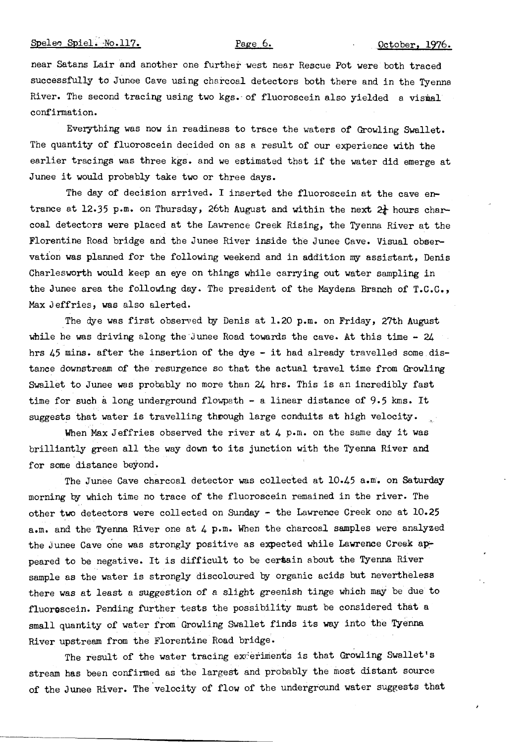**I** 

near Satans Lair and another one further west near Rescue Pot were both traced successfully to Junee Cave using charcoal detectors both there and in the Tyenna River. The second tracing using two kgs. of fluoroscein also yielded a vismal confirmation.

Everything was now in readiness to trace the waters of Growling Swallet. The quantity of fluoroscein decided on as a result of our experience with the earlier tracings was three kgs. and we estimated that if the water did emerge at Junee it would probably take two or three days.

The day of decision arrived. I inserted the fluoroscein at the cave entrance at 12.35 p.m. on Thursday, 26th August and within the next **2&** hours char coal detectors were placed at the Lawrence Creek Rising, the Tyenna River at the Florentine Road bridge and the Junee River inside the Junee Cave. Visual obser vation was plamed for the following weekend and in addition my assistant, Denis Charlesworth would keep an eye on things while carrying out water sampling in the Junee area the following day. The president of the Maydena Branch of T.C.C., Max Jeffries, was also alerted.

The dye was first observed by Denis at 1.20 p.m. on Friday, 27th August while he was driving along the Junee Road towards the cave. At this time - 24 hrs 45 mins. after the insertion of the dye - it had already travelled some distance downstream of the resurgence so that the actual travel time from Growling Swailet to Junee was probably no more than 24 hrs. This is an incredibly fast time for such a long underground flowpath - a linear distance of 9.5 kms. It suggests that water is travelling through large conduits at high velocity.

When Max Jeffries observed the river at  $4$  p.m. on the same day it was brilliantly green all the way down to its junction with the Tyenna River and for some distance beyond.

The Junee Cave charcoal detector was collected at 10.45 a.m. on Saturday morning by which time no trace of the fluoroscein remained in the river. The other two detectors were collected on Sunday - the Lawrence Creek one at 10.25 a.m. and the Tyenna River one at 4 p.m. When the charcoal samples were analyzed the Junee Cave one was strongly positive as expected while Lawrence Creek appeared to be negative. It is difficult to be cerdain about the Tyenna River sample as the water is strongly discoloured by organic acids but nevertheless there was at least a suggestion of a slight greenish tinge which may be due to fluorescein. Pending further tests the possibility must be considered that a small quantity of water from Growling Swallet finds its way into the Tyenna River upstream from the Florentine Road bridge.

The result of the water tracing exteriments is that Growling Swallet's stream has been confirmed as the largest and probably the most distant source of the Junee River. The velocity of flow of the underground water suggests that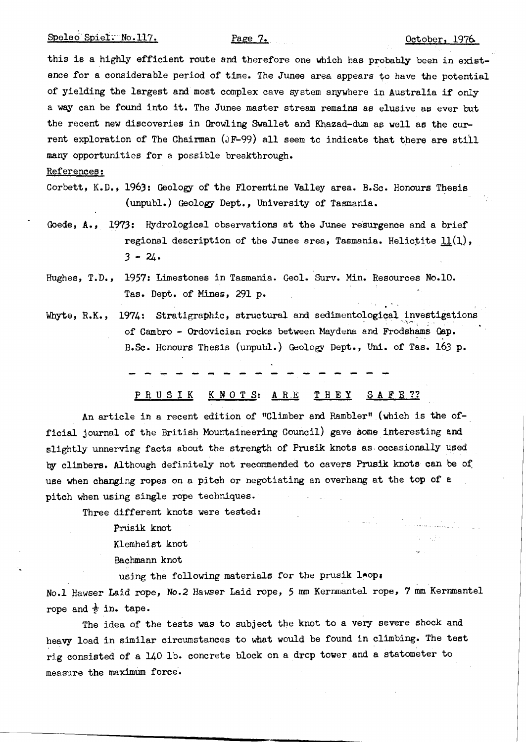#### Speleo Spiel. No.117.

**t** 

this is a highly efficient route and therefore one which has probably been in existence for a considerable period of time. The Junee area appears to have the potential of yielding the largest and most complex cave system anywhere in Australia if only <sup>a</sup>way can be found into it. The Junee master stream remains as elusive as ever but the recent new discoveries in Growling Swallet and Khazad-dun as well as the current exploration of The Chairman (JF-99) all seem to indicate that there are still many opportunities for a possible breakthrough.

References:

Corbett, **K.D.,** 1963: Geology of the Florentine Valley area. B.Sc. Honours Thesis (unpubl.) Geology Dept., University of Tasmania.

- Goede, **A.,** 1973: Hydrological observations at the Junee resurgence and a brief regional description of the Junee area, Tasmania. Helictite  $11(1)$ ,  $3 - 24$
- Hughes, T.D., 1957: Limestones in Tasmania. Geol. Surv. Min. Resources No.10. Tas. Dept. of **Mines,** 291 p.
- Whyte, R.K., 1974: Stratigraphic, structural and sedimentological investigations of Cambro - Ordovician rocks between Maydens and F'rodshhs **bp.**  B.&. Honours Thesis (unpubl. ) Geology Dept., Uni. of Tas. 163 p.

#### PRUSIK KNOTS: **AR.E** THEY SAFE??

An article in a recent edition of "Climber and Rambler" (which is the official journal of the British Mountaineering council) gave some interesting and slightly unnerving facts about the strength of Prusik knots as occasionally used by climbers. Although definitely not recommended to cavers Prusik knots can be of use when changing ropes on a pitch or negotiating an overhang at the top of a pitch when using single rope techniques.

Three different knots were tested:

Prusik knot Klemheist knot Bachmann knot

using the following materials for the prusik loop:

No.1 Hawser Laid rope, **No.2** Hawser Laid rope, 5 mm Kernmantel rope, 7 mm Kernmantel rope and  $\frac{1}{2}$  in. tape.

The idea of the tests was to subject the knot to a very severe shock and heavy load in similar circumstances to what would be found in climbing. The test rig consisted of a **WO** lb. concrete block on a drop tower and a statometer to measure the maximum force.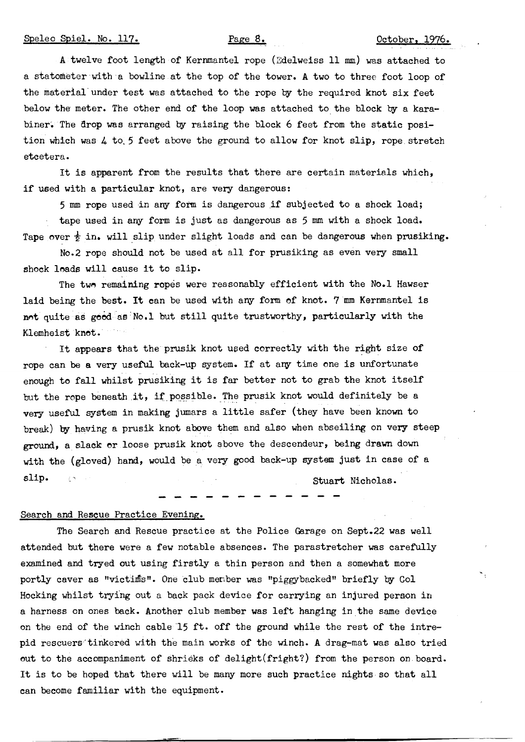A twelve foot length of Kernmantel rope (Edelweiss 11 mm) was attached to a statometer with a bowline at the top of the tower. A two to three foot loop of the material under test was attached to the rope by the required knot six feet below the meter. The other end of the loop was attached to the block by a karabiner. The drop was arranged by raising the block 6 feet from the static position which was 4 to 5 feet above the ground to allow for knot slip, rope stretch etcetera.

It is apparent from the results that there are certain materials which, if used with a particular knot, are very dangerous:

5 mm rope used in any form is dangerous if subjected to a shock load; tape used in any form is just as dangerous as 5 mm with a shock load. Tape over  $\frac{1}{2}$  in. will slip under slight loads and can be dangerous when prusiking.

No.2 rope should not be used at all for prusiking as even very small shock loads will cause it to slip.

The two remaining ropes were reasonably efficient with the No.1 Hawser laid being the best. It can be used with any form of knot. 7 mm Kernmantel is not quite as good as No.1 but still quite trustworthy, particularly with the Klemheist knot.

It appears that the prusik knot used correctly with the right size of rope can be a very useful back-up system. If at any time one is unfortunate enough to fall whilst prusiking it is far better not to grab the knot itself but the rope beneath it, if possible. The prusik knot would definitely be a very useful system in making jumars a little safer (they have been known to break) by having a prusik knot above them and also when abseiling on verg steep ground, a slack or loose prusik knot above the descendeur, being drawn down with the (gloved) hand, would be a very good back-up system just in case of a slip. The stuart Nicholas.

#### Search and Rescue Practice Eveninp.

The Search and Rescue practice at the Police Garage on Sept.22 was well attended but there were a few notable absences. The parastretcher was carefully examined and tryed out using firstly a thin person and then a somewhat more portly caver as "victimes". One club menber was "piggybacked" briefly by Col Hocking whilst trying out a back pack device for carrying an injured person in a harness on ones back. Another club member was left hanging in the same device on the end of the winch cable 15 ft. off the ground while the rest of the intrepid rescuers'tinkered with the main works of the winch. A drag-mat was also tried out to the accompaniment of shrieks of delight(fright?) from the person on board. It is to be hoped that there will be many more such practice nights so that all can become familiar with the equipment.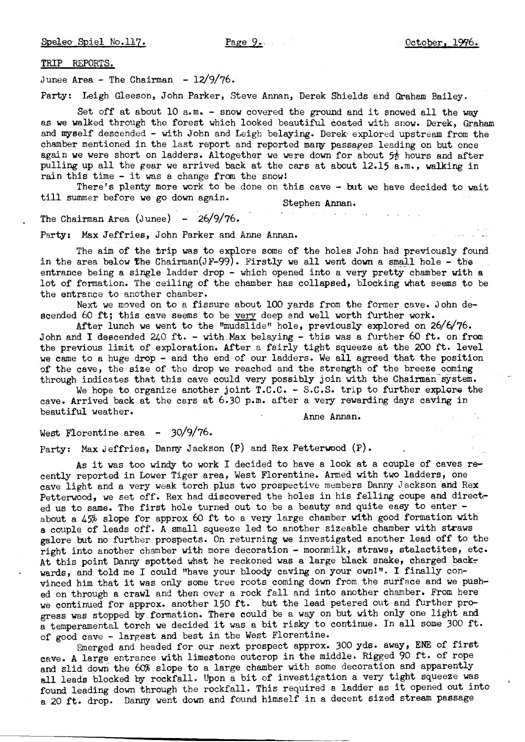Speleo Spiel No. 117. Page 9.

TRIP REPORTS.

Junee Area - The Chairman -  $12/9/76$ .

Party: Leigh Gleeson, John Parker, Steve Annan, Derek Shields and Graham Bailey.

Set off at about 10  $a.m.$  - snow covered the ground and it snowed all the way as we walked through the forest which looked beautiful coated with snow. Derek, Graham and myself descended - with John and Leigh belaying. Derek explored upstream from the chamber mentioned in the last report and reported many passages leading on but once again we were short on ladders. Altogether we were down for about  $5\frac{1}{2}$  hours and after pulling up all the pear we arrived back at the cars at about 12.15 a.m., walking in rain this time - it was a change from the snow!

There's plenty more work to be done on this cave - but we have decided to wait till summer before we go down again. Stephen Annan.

 $\mathcal{L}$ 

The Chairman Area (Junee) -  $26/9/76$ .

Party: Max Jeffries, John Parker and Anne Annan.

The aim of the trip was to explore some of the holes John had previously found in the area below the Chairman( $JF-99$ ). Firstly we all went down a small hole - the entrance being a single ladder drop - which opened into a very pretty chamber with **<sup>a</sup>** lot of formation. The ceiling of the chamber has collapsed, blocking what seems to be the entrance to another chamber.

Next we moved on to a fissure about 100 yards from the former cave. John descended 60 ft; this cave seems to be very deep and well worth further work.

After lunch we went to the "mudslide" hole, previously explored on  $26/6/76$ . John and I descended 240 ft. - with Max belaying - this was a further 60 ft. on from the previous limit of exploration. After a fairly tight squeeze at the 200 ft. level we came to a huge drop - and the end of our ladders. We all agreed that the position of the cave, the size of the drop we reached and the strength of the breeze coming through indicates that this cave could very possibly join with the Chairman-system.

We hope to organize another joint T.C.C. - S.C.S. trip to further explore the cave. Arrived back at the cars at 6.30 p.n. after a very rewarding days caving in beautiful weather.<br>
Anne Annan.

West Florentine area - 30/9/76.

Party: Max J effries, Danny Jackson (P) and Rex Petterwood (P).<br>As it was too windy to work I decided to have a look at a couple of caves recently reported in Lower Tiger area, West Florentine. Armed with two ladders, one cave light and a very weak torch plus two prospective members Danny Jackson **and** Rex Petterwood, we set off. Rex had discovered the holes in his felling coupe and directed us to same. The first hole turned out to be a beauty and quite easy to enter about a 45% slope for approx 60 ft to a very large chamber with good formation with a couple of leads off. A small squeeze led to another sizeable chamber with straws galore but no further prospects. On returning we investigated another lead off to the right into another chamber with more decoration - moonmilk, straws, stalactites, etc. At this point Danny spotted what he reckoned was a large black snake, charged backwards, and told me I could "have your bloody caving on your own!". I finally convinced him that it was only some tree roots coming down from the surface and we pushed on through a crawl and then over a rock fall and into another chamber. From here we continued for approx. another 150 ft. but the lead petered out and further progress was stopped by formation. There could be a way on but with only one light and a temperamental torch we decided it was a bit risky to continue. In all some 300 ft. of good cave - largest and best in the West Florentine.

Emerged and headed for our next prospect approx. 300 yds. away, **ENE** of first cave. A large entrance with limestone outcrop in the middle. Rigged 90 ft. of rope and slid down the 60% slope to a large chamber with some decoration and apparently all leads blocked by rockfall. Upon a bit of investigation a very tight squeeze was found leading down through the rockfall. This required a ladder as it opened out into **<sup>l</sup>** a 20 ft. drop. Danny went down and found himself in a decent sized stream passage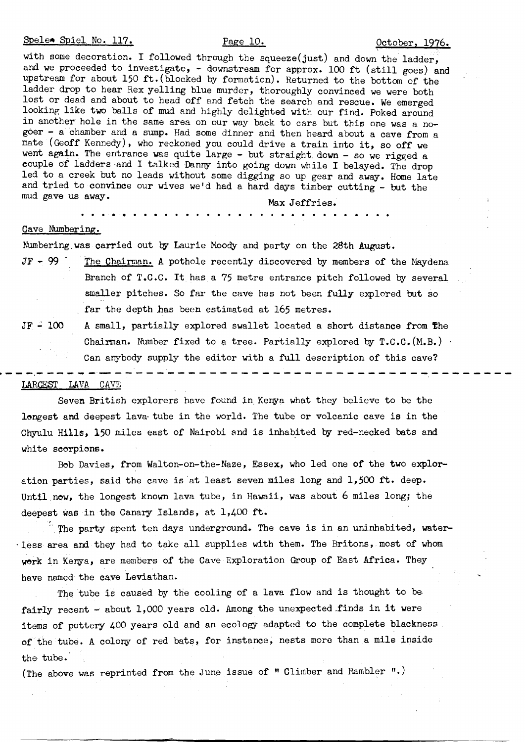## Spele<sup>\*</sup> Spiel No. 117. Page 10. October, 1976.

with some decoration. I followed through the squeeze(just) and down the ladder, and we proceeded to investigate, - downstream for approx. 100 ft (still goes) and upstream for about 150 ft. (blocked by formation). Returned to the bottom of the ladder drop to hear Rex yelling blue murder, thoroughly convinced we were both lost or dead and about to head off and fetch the search and rescue. We emerged looking like two balls of mud and highly delighted with our find. Poked around in another hole in the same area on our way back to cars but this one was a nogoer - a chamber and a sump. Had some dinner and then heard about a cave from a goof  $-$  a channel and a sump. had some dinner and then heard about a cave from<br>mate (Geoff Kennedy), who reckoned you could drive a train into it, so off we mate (decir Rennedy), who reckoned you could drive a train into it, so off we went again. The entrance was quite large - but straight down - so we rigged a couple of ladders and I talked Danny into going down while I belayed. The drop led to a creek but no leads without some digging so up gear and away. Home late and tried to convince our wives we'd had a hard days timber cutting - but the mud gave us away. The set of the Max Jeffries.

### Cave Numbering.

Numbering was carried out by Laurie Moody and party on the 28th August.

JF - 99 The Chairman. A pothole recently discovered by members of the Maydena. Branch of T.C.C. It has a 75 metre entrance pitch followed by several smaller pitches. So far the cave has not been fully explored but so far the depth has been estimated at 165 metres.

JF - **<sup>100</sup>A** small, partially explored swallet located a short distance from the Chairman. Number fixed to a tree. Partially explored by  $T.C.C. (M.B.)$ Can anybody supply the editor with a full description of this cave?

## LARGEST LAVA CAVE

,---.--------------------------------------------

Seven British explorers have found in Kenya what they believe to be the longest and deepest lava tube in the world. The tube or volcanic cave is in the Chydu Hills, 150 miles east of Nairobi and is inhabited by red-necked bats and white scorpions.

Bob Davies, from Walton-on-the-Naze, Essex, who led one of the two exploration parties, said the cave is at least seven miles long and 1,500 ft. deep. Until.now, the longest known lava tube, in Hawaii, was about 6 miles long; the deepest was in the Canary Islands, at 1,400 ft.

The party spent ten days underground. The cave is in an uninhabited, water-· less area and they had to take all supplies with them. The Britons, most of whom work in Kenya, are members of the Cave Exploration Group of East Africa. They have named the cave Leviathan.

The tube is caused by the cooling of a lava flow and is thought to be fairly recent - about 1,000 years old. Among the unexpected finds in it were items of pottery 400 years old and an ecology adapted to the complete blackness of the tube. A colony of red bats, for instance, nests more than a mile inside the tube.

(The above was reprinted from the June issue of  $"$  Climber and Rambler  $"$ .)